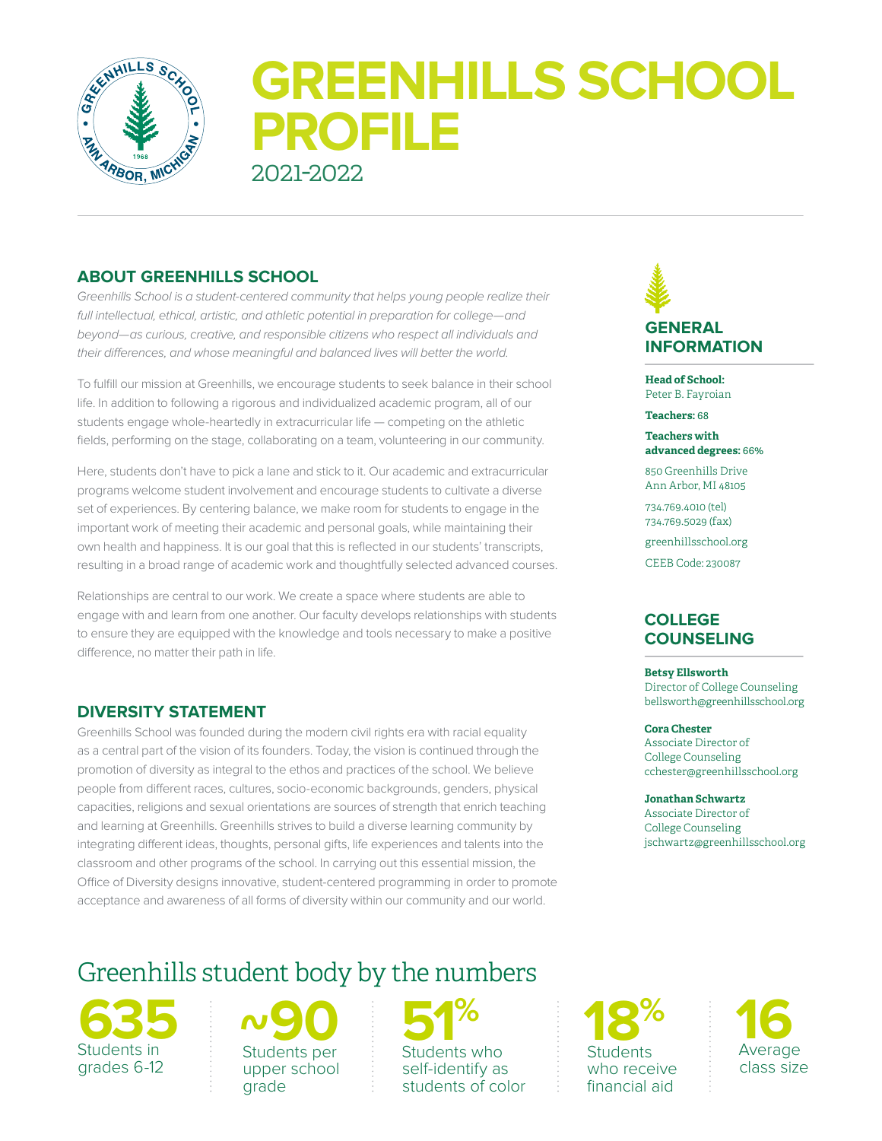

# **GREENHILLS SCHOOL PROFILE** 2021-2022

# **ABOUT GREENHILLS SCHOOL**

*Greenhills School is a student-centered community that helps young people realize their full intellectual, ethical, artistic, and athletic potential in preparation for college—and beyond—as curious, creative, and responsible citizens who respect all individuals and their differences, and whose meaningful and balanced lives will better the world.* 

To fulfill our mission at Greenhills, we encourage students to seek balance in their school life. In addition to following a rigorous and individualized academic program, all of our students engage whole-heartedly in extracurricular life — competing on the athletic fields, performing on the stage, collaborating on a team, volunteering in our community.

Here, students don't have to pick a lane and stick to it. Our academic and extracurricular programs welcome student involvement and encourage students to cultivate a diverse set of experiences. By centering balance, we make room for students to engage in the important work of meeting their academic and personal goals, while maintaining their own health and happiness. It is our goal that this is reflected in our students' transcripts, resulting in a broad range of academic work and thoughtfully selected advanced courses.

Relationships are central to our work. We create a space where students are able to engage with and learn from one another. Our faculty develops relationships with students to ensure they are equipped with the knowledge and tools necessary to make a positive difference, no matter their path in life.

# **DIVERSITY STATEMENT**

Greenhills School was founded during the modern civil rights era with racial equality as a central part of the vision of its founders. Today, the vision is continued through the promotion of diversity as integral to the ethos and practices of the school. We believe people from different races, cultures, socio-economic backgrounds, genders, physical capacities, religions and sexual orientations are sources of strength that enrich teaching and learning at Greenhills. Greenhills strives to build a diverse learning community by integrating different ideas, thoughts, personal gifts, life experiences and talents into the classroom and other programs of the school. In carrying out this essential mission, the Office of Diversity designs innovative, student-centered programming in order to promote acceptance and awareness of all forms of diversity within our community and our world.

# Greenhills student body by the numbers

**635**  Students in grades 6-12

 $\sim$ **90**<br>Students per upper school grade **~ 5**<br>Students per students w<br>upper school

Students who self-identify as students of color

## **GENERAL INFORMATION**

**Head of School:** Peter B. Fayroian

**Teachers:** 68

**Teachers with advanced degrees:** 66%

850 Greenhills Drive Ann Arbor, MI 48105

734.769.4010 (tel) 734.769.5029 (fax)

greenhillsschool.org

CEEB Code: 230087

# **COLLEGE COUNSELING**

#### **Betsy Ellsworth**

Director of College Counseling bellsworth@greenhillsschool.org

#### **Cora Chester**

Associate Director of College Counseling cchester@greenhillsschool.org

**Jonathan Schwartz**

Associate Director of College Counseling jschwartz@greenhillsschool.org

**18%** Students who receive financial aid

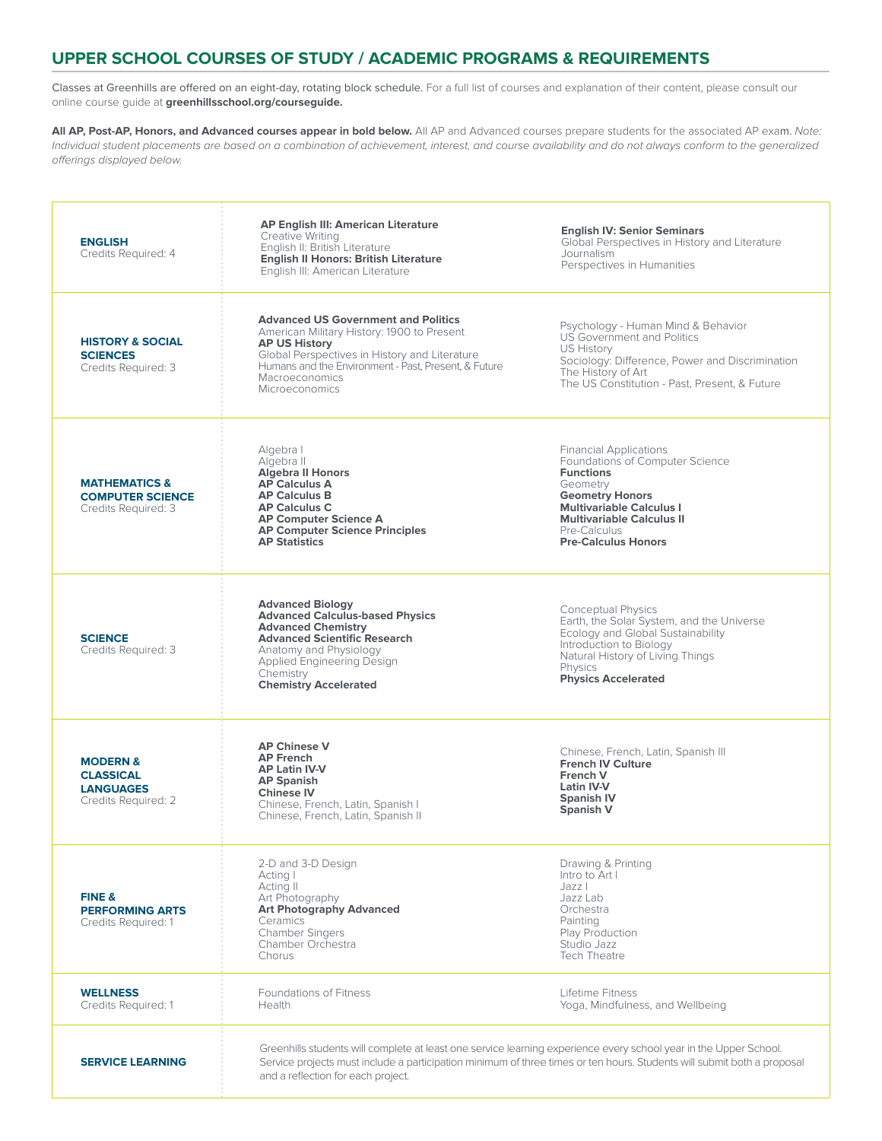### **UPPER SCHOOL COURSES OF STUDY / ACADEMIC PROGRAMS & REQUIREMENTS**

Classes at Greenhills are offered on an eight-day, rotating block schedule. For a full list of courses and explanation of their content, please consult our online course guide at **greenhillsschool.org/courseguide.**

**All AP, Post-AP, Honors, and Advanced courses appear in bold below.** All AP and Advanced courses prepare students for the associated AP exam. *Note: Individual student placements are based on a combination of achievement, interest, and course availability and do not always conform to the generalized offerings displayed below.*

| <b>ENGLISH</b><br>Credits Required: 4                                              | <b>AP English III: American Literature</b><br>Creative Writing<br>English II: British Literature<br><b>English II Honors: British Literature</b><br>English III: American Literature                                                                                               | <b>English IV: Senior Seminars</b><br>Global Perspectives in History and Literature<br>Journalism<br>Perspectives in Humanities                                                                                                                 |
|------------------------------------------------------------------------------------|------------------------------------------------------------------------------------------------------------------------------------------------------------------------------------------------------------------------------------------------------------------------------------|-------------------------------------------------------------------------------------------------------------------------------------------------------------------------------------------------------------------------------------------------|
| <b>HISTORY &amp; SOCIAL</b><br><b>SCIENCES</b><br>Credits Required: 3              | <b>Advanced US Government and Politics</b><br>American Military History: 1900 to Present<br><b>AP US History</b><br>Global Perspectives in History and Literature<br>Humans and the Environment - Past, Present, & Future<br>Macroeconomics<br><b>Microeconomics</b>               | Psychology - Human Mind & Behavior<br><b>US Government and Politics</b><br><b>US History</b><br>Sociology: Difference, Power and Discrimination<br>The History of Art<br>The US Constitution - Past, Present, & Future                          |
| <b>MATHEMATICS &amp;</b><br><b>COMPUTER SCIENCE</b><br>Credits Required: 3         | Algebra I<br>Algebra II<br><b>Algebra II Honors</b><br><b>AP Calculus A</b><br><b>AP Calculus B</b><br><b>AP Calculus C</b><br><b>AP Computer Science A</b><br><b>AP Computer Science Principles</b><br><b>AP Statistics</b>                                                       | <b>Financial Applications</b><br>Foundations of Computer Science<br><b>Functions</b><br>Geometry<br><b>Geometry Honors</b><br><b>Multivariable Calculus I</b><br><b>Multivariable Calculus II</b><br>Pre-Calculus<br><b>Pre-Calculus Honors</b> |
| <b>SCIENCE</b><br>Credits Required: 3                                              | <b>Advanced Biology</b><br><b>Advanced Calculus-based Physics</b><br><b>Advanced Chemistry</b><br><b>Advanced Scientific Research</b><br>Anatomy and Physiology<br>Applied Engineering Design<br>Chemistry<br><b>Chemistry Accelerated</b>                                         | Conceptual Physics<br>Earth, the Solar System, and the Universe<br>Ecology and Global Sustainability<br>Introduction to Biology<br>Natural History of Living Things<br>Physics<br><b>Physics Accelerated</b>                                    |
| <b>MODERN &amp;</b><br><b>CLASSICAL</b><br><b>LANGUAGES</b><br>Credits Required: 2 | <b>AP Chinese V</b><br><b>AP French</b><br><b>AP Latin IV-V</b><br><b>AP Spanish</b><br><b>Chinese IV</b><br>Chinese, French, Latin, Spanish I<br>Chinese, French, Latin, Spanish II                                                                                               | Chinese, French, Latin, Spanish III<br><b>French IV Culture</b><br>French V<br>Latin IV-V<br><b>Spanish IV</b><br><b>Spanish V</b>                                                                                                              |
| FINE &<br><b>PERFORMING ARTS</b><br>Credits Required: 1                            | 2-D and 3-D Design<br>Acting I<br>Acting II<br>Art Photography<br><b>Art Photography Advanced</b><br>Ceramics<br><b>Chamber Singers</b><br>Chamber Orchestra<br>Chorus                                                                                                             | Drawing & Printing<br>Intro to Art I<br>Jazz I<br>Jazz Lab<br>Orchestra<br>Painting<br>Play Production<br>Studio Jazz<br><b>Tech Theatre</b>                                                                                                    |
| <b>WELLNESS</b><br>Credits Required: 1                                             | <b>Foundations of Fitness</b><br>Health                                                                                                                                                                                                                                            | Lifetime Fitness<br>Yoga, Mindfulness, and Wellbeing                                                                                                                                                                                            |
| <b>SERVICE LEARNING</b>                                                            | Greenhills students will complete at least one service learning experience every school year in the Upper School.<br>Service projects must include a participation minimum of three times or ten hours. Students will submit both a proposal<br>and a reflection for each project. |                                                                                                                                                                                                                                                 |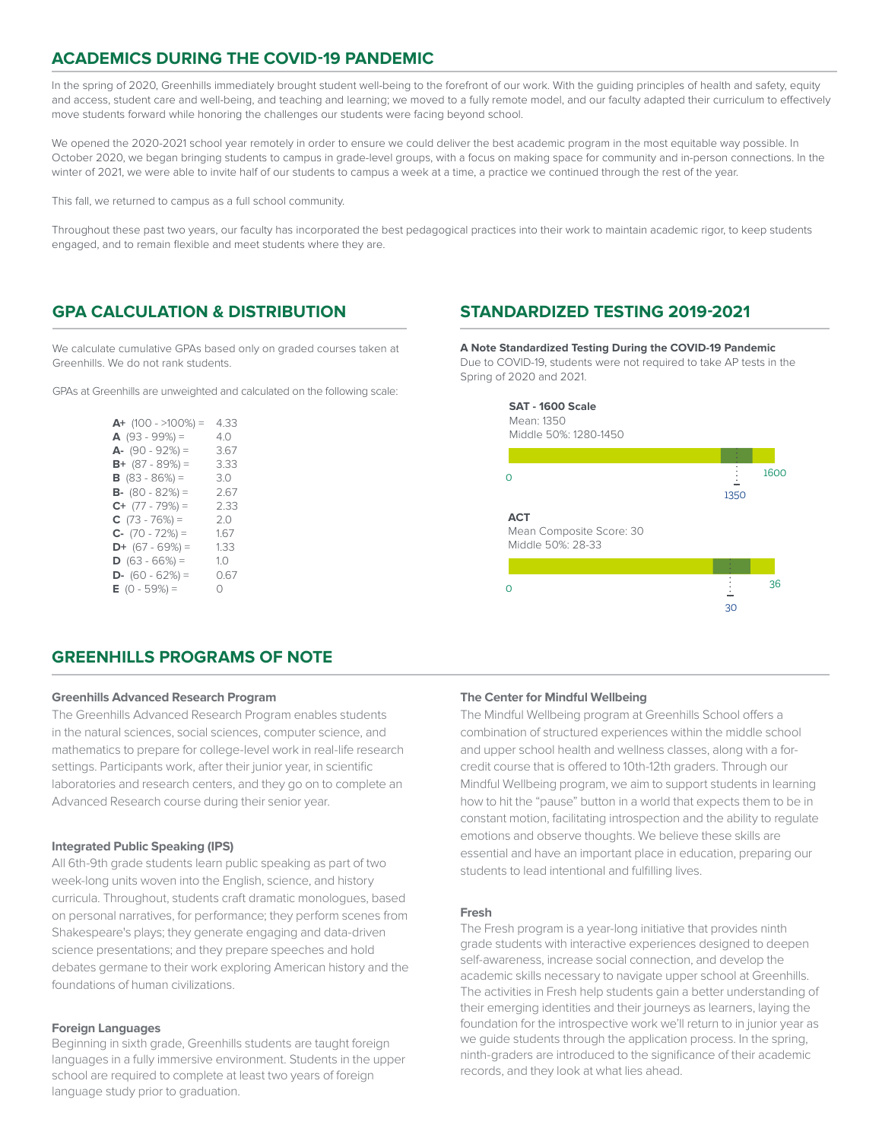## **ACADEMICS DURING THE COVID-19 PANDEMIC**

In the spring of 2020, Greenhills immediately brought student well-being to the forefront of our work. With the guiding principles of health and safety, equity and access, student care and well-being, and teaching and learning; we moved to a fully remote model, and our faculty adapted their curriculum to effectively move students forward while honoring the challenges our students were facing beyond school.

We opened the 2020-2021 school year remotely in order to ensure we could deliver the best academic program in the most equitable way possible. In October 2020, we began bringing students to campus in grade-level groups, with a focus on making space for community and in-person connections. In the winter of 2021, we were able to invite half of our students to campus a week at a time, a practice we continued through the rest of the year.

This fall, we returned to campus as a full school community.

Throughout these past two years, our faculty has incorporated the best pedagogical practices into their work to maintain academic rigor, to keep students engaged, and to remain flexible and meet students where they are.

# **GPA CALCULATION & DISTRIBUTION**

We calculate cumulative GPAs based only on graded courses taken at Greenhills. We do not rank students.

GPAs at Greenhills are unweighted and calculated on the following scale:

| 4 33    |
|---------|
| 4.0     |
| 3.67    |
| 3.33    |
| 3.0     |
| 2 67    |
| 2.33    |
| 2.0     |
| 1.67    |
| 1.33    |
| 1.0     |
| 0.67    |
| $\circ$ |
|         |

# **STANDARDIZED TESTING 2019-2021**

**A Note Standardized Testing During the COVID-19 Pandemic** Due to COVID-19, students were not required to take AP tests in the Spring of 2020 and 2021.



#### **GREENHILLS PROGRAMS OF NOTE**

#### **Greenhills Advanced Research Program**

The Greenhills Advanced Research Program enables students in the natural sciences, social sciences, computer science, and mathematics to prepare for college-level work in real-life research settings. Participants work, after their junior year, in scientific laboratories and research centers, and they go on to complete an Advanced Research course during their senior year.

#### **Integrated Public Speaking (IPS)**

All 6th-9th grade students learn public speaking as part of two week-long units woven into the English, science, and history curricula. Throughout, students craft dramatic monologues, based on personal narratives, for performance; they perform scenes from Shakespeare's plays; they generate engaging and data-driven science presentations; and they prepare speeches and hold debates germane to their work exploring American history and the foundations of human civilizations.

#### **Foreign Languages**

Beginning in sixth grade, Greenhills students are taught foreign languages in a fully immersive environment. Students in the upper school are required to complete at least two years of foreign language study prior to graduation.

#### **The Center for Mindful Wellbeing**

The Mindful Wellbeing program at Greenhills School offers a combination of structured experiences within the middle school and upper school health and wellness classes, along with a forcredit course that is offered to 10th-12th graders. Through our Mindful Wellbeing program, we aim to support students in learning how to hit the "pause" button in a world that expects them to be in constant motion, facilitating introspection and the ability to regulate emotions and observe thoughts. We believe these skills are essential and have an important place in education, preparing our students to lead intentional and fulfilling lives.

#### **Fresh**

The Fresh program is a year-long initiative that provides ninth grade students with interactive experiences designed to deepen self-awareness, increase social connection, and develop the academic skills necessary to navigate upper school at Greenhills. The activities in Fresh help students gain a better understanding of their emerging identities and their journeys as learners, laying the foundation for the introspective work we'll return to in junior year as we guide students through the application process. In the spring, ninth-graders are introduced to the significance of their academic records, and they look at what lies ahead.